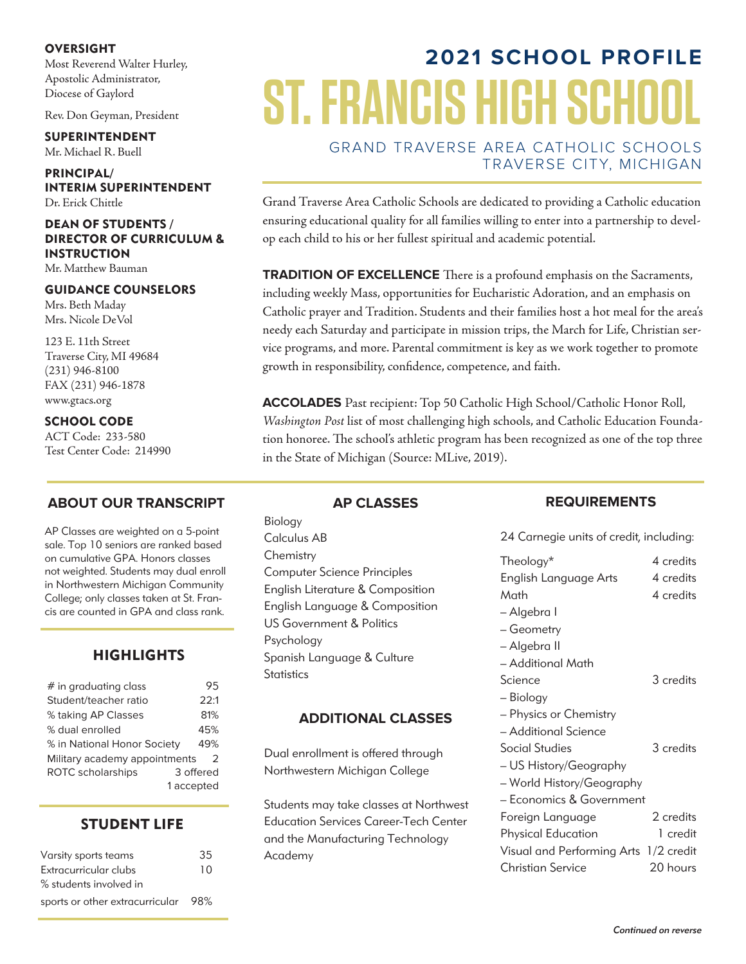#### **OVERSIGHT**

Most Reverend Walter Hurley, Apostolic Administrator, Diocese of Gaylord

Rev. Don Geyman, President

**SUPERINTENDENT** Mr. Michael R. Buell

**PRINCIPAL/ INTERIM SUPERINTENDENT** Dr. Erick Chittle

#### **DEAN OF STUDENTS / DIRECTOR OF CURRICULUM & INSTRUCTION**

Mr. Matthew Bauman

#### **GUIDANCE COUNSELORS**

Mrs. Beth Maday Mrs. Nicole DeVol

123 E. 11th Street Traverse City, MI 49684 (231) 946-8100 FAX (231) 946-1878 www.gtacs.org

**SCHOOL CODE**

ACT Code: 233-580 Test Center Code: 214990

#### **ABOUT OUR TRANSCRIPT**

AP Classes are weighted on a 5-point sale. Top 10 seniors are ranked based on cumulative GPA. Honors classes not weighted. Students may dual enroll in Northwestern Michigan Community College; only classes taken at St. Francis are counted in GPA and class rank.

#### **HIGHLIGHTS**

| $#$ in graduating class       | 95         |
|-------------------------------|------------|
| Student/teacher ratio         | 22:1       |
| % taking AP Classes           | 81%        |
| % dual enrolled               | 45%        |
| % in National Honor Society   | 49%        |
| Military academy appointments | 2          |
| <b>ROTC</b> scholarships      | 3 offered  |
|                               | 1 accepted |

#### **STUDENT LIFE**

| Varsity sports teams                | 35 |
|-------------------------------------|----|
| Extracurricular clubs               | 10 |
| % students involved in              |    |
| sports or other extracurricular 98% |    |

# **2021 SCHOOL PROFILE ST. FRANCIS H**

GRAND TRAVERSE AREA CATHOLIC SCHOOLS TRAVERSE CITY, MICHIGAN

Grand Traverse Area Catholic Schools are dedicated to providing a Catholic education ensuring educational quality for all families willing to enter into a partnership to develop each child to his or her fullest spiritual and academic potential.

**TRADITION OF EXCELLENCE** There is a profound emphasis on the Sacraments, including weekly Mass, opportunities for Eucharistic Adoration, and an emphasis on Catholic prayer and Tradition. Students and their families host a hot meal for the area's needy each Saturday and participate in mission trips, the March for Life, Christian service programs, and more. Parental commitment is key as we work together to promote growth in responsibility, confidence, competence, and faith.

**ACCOLADES** Past recipient: Top 50 Catholic High School/Catholic Honor Roll, *Washington Post* list of most challenging high schools, and Catholic Education Foundation honoree. The school's athletic program has been recognized as one of the top three in the State of Michigan (Source: MLive, 2019).

Biology Calculus AB **Chemistry** Computer Science Principles English Literature & Composition English Language & Composition US Government & Politics Psychology Spanish Language & Culture **Statistics** 

**AP CLASSES**

#### **ADDITIONAL CLASSES**

Dual enrollment is offered through Northwestern Michigan College

Students may take classes at Northwest Education Services Career-Tech Center and the Manufacturing Technology Academy

#### **REQUIREMENTS**

24 Carnegie units of credit, including:

| Theology*                             | 4 credits |
|---------------------------------------|-----------|
| English Language Arts                 | 4 credits |
| Math                                  | 4 credits |
| – Algebra I                           |           |
| – Geometry                            |           |
| - Algebra II                          |           |
| - Additional Math                     |           |
| Science                               | 3 credits |
| - Biology                             |           |
| – Physics or Chemistry                |           |
| – Additional Science                  |           |
| Social Studies                        | 3 credits |
| - US History/Geography                |           |
| – World History/Geography             |           |
| – Economics & Government              |           |
| Foreign Language                      | 2 credits |
| Physical Education                    | 1 credit  |
| Visual and Performing Arts 1/2 credit |           |
| <b>Christian Service</b>              | 20 hours  |